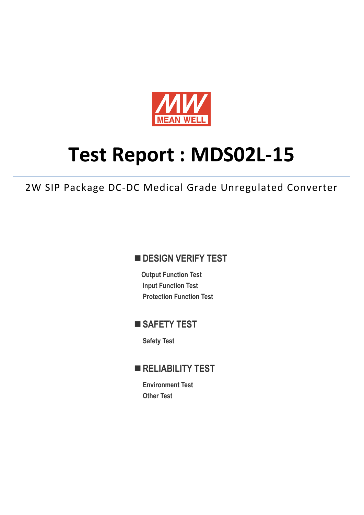

# **Test Report : MDS02L-15**

2W SIP Package DC-DC Medical Grade Unregulated Converter

## **DESIGN VERIFY TEST**

**Output Function Test Input Function Test Protection Function Test** 

## **SAFETY TEST**

**Safety Test** 

# **RELIABILITY TEST**

**Environment Test Other Test**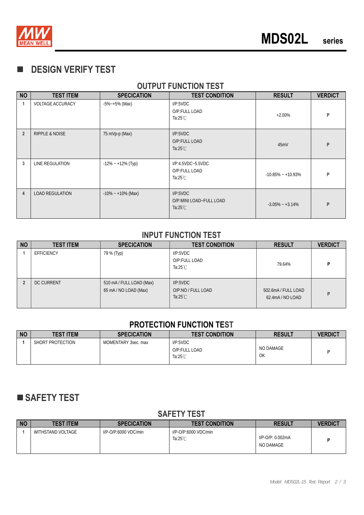

# **DESIGN VERIFY TEST**

## **OUTPUT FUNCTION TEST**

| <b>NO</b>      | <b>TEST ITEM</b>          | <b>SPECICATION</b>    | <b>TEST CONDITION</b>                                     | <b>RESULT</b>         | <b>VERDICT</b> |
|----------------|---------------------------|-----------------------|-----------------------------------------------------------|-----------------------|----------------|
|                | <b>VOLTAGE ACCURACY</b>   | $-5\% - +5\%$ (Max)   | I/P:5VDC<br>O/P:FULL LOAD<br>Ta:25 $°C$                   | $+2.00%$              | P              |
| $\overline{2}$ | <b>RIPPLE &amp; NOISE</b> | 75 mVp-p (Max)        | I/P:5VDC<br>O/P:FULL LOAD<br>Ta: $25^{\circ}$ C           | 45mV                  | P              |
| 3              | LINE REGULATION           | $-12\% - +12\%$ (Typ) | $I/P:4.5VDC-5.5VDC$<br>O/P:FULL LOAD<br>Ta:25 $°C$        | $-10.85\% - +10.93\%$ | P              |
| 4              | <b>LOAD REGULATION</b>    | $-10\% - +10\%$ (Max) | I/P:5VDC<br>O/P:MINI LOAD~FULL LOAD<br>Ta: $25^{\circ}$ C | $-3.05\% - +3.14\%$   | P              |

#### **INPUT FUNCTION TEST**

| <b>NO</b> | <b>TEST ITEM</b>  | <b>SPECICATION</b>                                | <b>TEST CONDITION</b>                                | <b>RESULT</b>                           | <b>VERDICT</b> |
|-----------|-------------------|---------------------------------------------------|------------------------------------------------------|-----------------------------------------|----------------|
|           | <b>EFFICIENCY</b> | 79 % (Тур)                                        | I/P:5VDC<br>O/P:FULL LOAD<br>Ta: $25^{\circ}$ C      | 79.64%                                  | Р              |
|           | <b>DC CURRENT</b> | 510 mA / FULL LOAD (Max)<br>65 mA / NO LOAD (Max) | I/P:5VDC<br>O/P:NO / FULL LOAD<br>Ta: $25^{\circ}$ C | 502.6mA / FULL LOAD<br>62.4mA / NO LOAD | P              |

#### **PROTECTION FUNCTION TEST**

| <b>NO</b> | <b>TEST ITEM</b> | <b>SPECICATION</b>  | <b>TEST CONDITION</b>                           | <b>RESULT</b>   | <b>VERDICT</b> |
|-----------|------------------|---------------------|-------------------------------------------------|-----------------|----------------|
|           | SHORT PROTECTION | MOMENTARY 3sec. max | I/P:5VDC<br>O/P:FULL LOAD<br>Ta: $25^{\circ}$ C | NO DAMAGE<br>OK |                |

# **SAFETY TEST**

## **SAFETY TEST**

| <b>NC</b> | <b>TEST ITEM</b>  | <b>SPECICATION</b>      | <b>TEST CONDITION</b>                      | <b>RESULT</b>                 | <b>VERDICT</b> |
|-----------|-------------------|-------------------------|--------------------------------------------|-------------------------------|----------------|
|           | WITHSTAND VOLTAGE | $I/P$ -O/P:6000 VDC/min | I/P-O/P:6000 VDC/min<br>Ta: $25^{\circ}$ C | I/P-O/P: 0.002mA<br>NO DAMAGE |                |